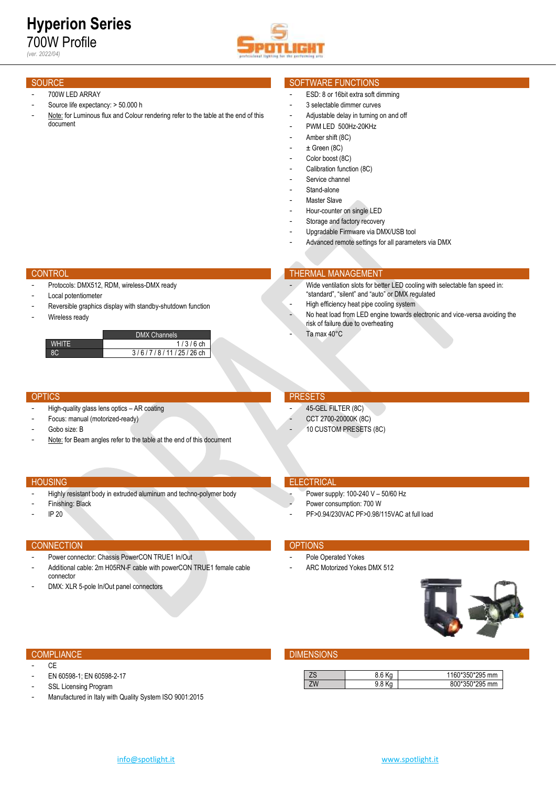- 700W LED ARRAY
- Source life expectancy: > 50.000 h
- Note: for Luminous flux and Colour rendering refer to the table at the end of this document

# SOURCE SOFTWARE FUNCTIONS

- ESD: 8 or 16bit extra soft dimming
- 3 selectable dimmer curves
- Adjustable delay in turning on and off
- PWM LED 500Hz-20KHz
- Amber shift (8C)
- $\pm$  Green (8C)
- Color boost (8C)
- Calibration function (8C)
- Service channel
- Stand-alone
- Master Slave
- Hour-counter on single LED
- Storage and factory recovery
- Upgradable Firmware via DMX/USB tool

risk of failure due to overheating

Advanced remote settings for all parameters via DMX

"standard", "silent" and "auto" or DMX regulated High efficiency heat pipe cooling system

Wide ventilation slots for better LED cooling with selectable fan speed in:

No heat load from LED engine towards electronic and vice-versa avoiding the

### **CONTROL THERMAL MANAGEMENT**

- Protocols: DMX512, RDM, wireless-DMX ready
- Local potentiometer
- Reversible graphics display with standby-shutdown function
- Wireless ready



- High-quality glass lens optics AR coating
- Focus: manual (motorized-ready)
- Gobo size: B
- Note: for Beam angles refer to the table at the end of this document

- Highly resistant body in extruded aluminum and techno-polymer body

### HOUSING **ELECTRICAL**

- Power supply: 100-240 V 50/60 Hz
- Power consumption: 700 W
- PF>0.94/230VAC PF>0.98/115VAC at full load

# CONNECTION CONNECTION

Finishing: Black - IP 20

- Power connector: Chassis PowerCON TRUE1 In/Out
- Additional cable: 2m H05RN-F cable with powerCON TRUE1 female cable connector
- DMX: XLR 5-pole In/Out panel connectors

- Pole Operated Yokes
- ARC Motorized Yokes DMX 512



- CE
- EN 60598-1; EN 60598-2-17
- SSL Licensing Program
- Manufactured in Italy with Quality System ISO 9001:2015

### COMPLIANCE **DIMENSIONS**

|  | 0.00000000000<br>mm |
|--|---------------------|
|  | $F^{\alpha}$<br>mm  |

# OPTICS **PRESETS**

45-GEL FILTER (8C)

Ta max 40°C

- CCT 2700-20000K (8C)
- 10 CUSTOM PRESETS (8C)